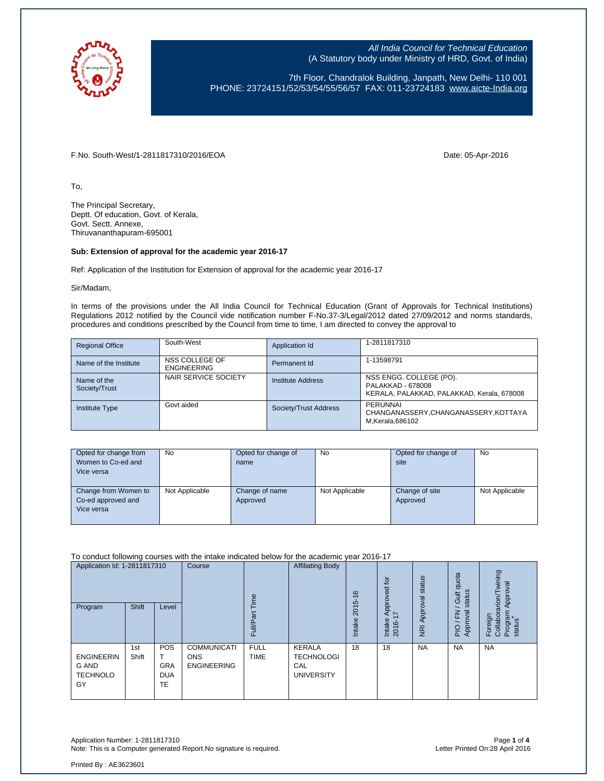

7th Floor, Chandralok Building, Janpath, New Delhi- 110 001 PHONE: 23724151/52/53/54/55/56/57 FAX: 011-23724183 [www.aicte-India.org](http://www.aicte-india.org/)

F.No. South-West/1-2811817310/2016/EOA Date: 05-Apr-2016

To,

The Principal Secretary, Deptt. Of education, Govt. of Kerala, Govt. Sectt. Annexe, Thiruvananthapuram-695001

#### **Sub: Extension of approval for the academic year 2016-17**

Ref: Application of the Institution for Extension of approval for the academic year 2016-17

Sir/Madam,

In terms of the provisions under the All India Council for Technical Education (Grant of Approvals for Technical Institutions) Regulations 2012 notified by the Council vide notification number F-No.37-3/Legal/2012 dated 27/09/2012 and norms standards, procedures and conditions prescribed by the Council from time to time, I am directed to convey the approval to

| <b>Regional Office</b>       | South-West                           | Application Id        | 1-2811817310                                                                               |
|------------------------------|--------------------------------------|-----------------------|--------------------------------------------------------------------------------------------|
| Name of the Institute        | NSS COLLEGE OF<br><b>ENGINEERING</b> | Permanent Id          | 1-13598791                                                                                 |
| Name of the<br>Society/Trust | NAIR SERVICE SOCIETY                 | Institute Address     | NSS ENGG. COLLEGE (PO).<br>PALAKKAD - 678008<br>KERALA, PALAKKAD, PALAKKAD, Kerala, 678008 |
| <b>Institute Type</b>        | Govt aided                           | Society/Trust Address | PERUNNAI<br>CHANGANASSERY, CHANGANASSERY, KOTTAYA<br>M.Kerala.686102                       |

| Opted for change from<br>Women to Co-ed and<br>Vice versa | No             | Opted for change of<br>name | <b>No</b>      | Opted for change of<br>site | No             |
|-----------------------------------------------------------|----------------|-----------------------------|----------------|-----------------------------|----------------|
| Change from Women to<br>Co-ed approved and<br>Vice versa  | Not Applicable | Change of name<br>Approved  | Not Applicable | Change of site<br>Approved  | Not Applicable |

To conduct following courses with the intake indicated below for the academic year 2016-17

| Application Id: 1-2811817310<br>Program                    | Shift        | Level                                               | Course                                                 | jme<br>σ<br>Full/P;        | <b>Affiliating Body</b>                                        | $\frac{6}{5}$<br>2015<br><b>Intake</b> | $\overline{c}$<br>Approved<br>I7<br>Intake<br>2016- | status<br>Approval<br>$\overline{R}$ | quota<br>status<br><b>Jir</b><br>준<br>roval<br>App<br>PIO | wining<br>Approval<br>rarion/<br>Program<br>status<br>Foreign<br>Collabor |
|------------------------------------------------------------|--------------|-----------------------------------------------------|--------------------------------------------------------|----------------------------|----------------------------------------------------------------|----------------------------------------|-----------------------------------------------------|--------------------------------------|-----------------------------------------------------------|---------------------------------------------------------------------------|
| <b>ENGINEERIN</b><br><b>G AND</b><br><b>TECHNOLO</b><br>GY | 1st<br>Shift | <b>POS</b><br><b>GRA</b><br><b>DUA</b><br><b>TE</b> | <b>COMMUNICATI</b><br><b>ONS</b><br><b>ENGINEERING</b> | <b>FULL</b><br><b>TIME</b> | <b>KERALA</b><br><b>TECHNOLOGI</b><br>CAL<br><b>UNIVERSITY</b> | 18                                     | 18                                                  | <b>NA</b>                            | <b>NA</b>                                                 | <b>NA</b>                                                                 |

Application Number: 1-2811817310<br>Note: This is a Computer generated Report.No signature is required.<br>Photo: This is a Computer generated Report.No signature is required. Note: This is a Computer generated Report.No signature is required.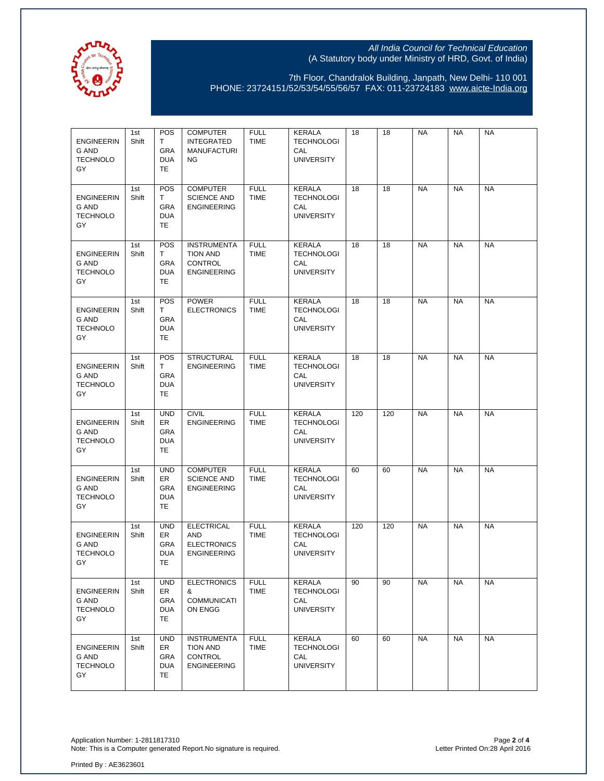

7th Floor, Chandralok Building, Janpath, New Delhi- 110 001 PHONE: 23724151/52/53/54/55/56/57 FAX: 011-23724183 [www.aicte-India.org](http://www.aicte-india.org/)

| <b>ENGINEERIN</b><br>G AND<br><b>TECHNOLO</b><br>GY        | 1st<br>Shift | POS<br>T<br><b>GRA</b><br><b>DUA</b><br>TE         | <b>COMPUTER</b><br><b>INTEGRATED</b><br><b>MANUFACTURI</b><br>ΝG              | <b>FULL</b><br><b>TIME</b> | KERALA<br><b>TECHNOLOGI</b><br>CAL<br><b>UNIVERSITY</b>        | 18  | 18  | <b>NA</b> | <b>NA</b> | <b>NA</b> |
|------------------------------------------------------------|--------------|----------------------------------------------------|-------------------------------------------------------------------------------|----------------------------|----------------------------------------------------------------|-----|-----|-----------|-----------|-----------|
| <b>ENGINEERIN</b><br>G AND<br><b>TECHNOLO</b><br>GY        | 1st<br>Shift | POS<br>T<br><b>GRA</b><br><b>DUA</b><br>TE         | <b>COMPUTER</b><br><b>SCIENCE AND</b><br><b>ENGINEERING</b>                   | <b>FULL</b><br><b>TIME</b> | <b>KERALA</b><br><b>TECHNOLOGI</b><br>CAL<br><b>UNIVERSITY</b> | 18  | 18  | <b>NA</b> | <b>NA</b> | <b>NA</b> |
| <b>ENGINEERIN</b><br>G AND<br>TECHNOLO<br>GY               | 1st<br>Shift | <b>POS</b><br>T.<br><b>GRA</b><br><b>DUA</b><br>TE | <b>INSTRUMENTA</b><br><b>TION AND</b><br><b>CONTROL</b><br><b>ENGINEERING</b> | <b>FULL</b><br><b>TIME</b> | <b>KERALA</b><br><b>TECHNOLOGI</b><br>CAL<br><b>UNIVERSITY</b> | 18  | 18  | <b>NA</b> | <b>NA</b> | <b>NA</b> |
| <b>ENGINEERIN</b><br><b>G AND</b><br><b>TECHNOLO</b><br>GY | 1st<br>Shift | <b>POS</b><br>T<br>GRA<br><b>DUA</b><br>TE         | <b>POWER</b><br><b>ELECTRONICS</b>                                            | <b>FULL</b><br><b>TIME</b> | <b>KERALA</b><br><b>TECHNOLOGI</b><br>CAL<br><b>UNIVERSITY</b> | 18  | 18  | <b>NA</b> | <b>NA</b> | <b>NA</b> |
| <b>ENGINEERIN</b><br>G AND<br><b>TECHNOLO</b><br>GY        | 1st<br>Shift | <b>POS</b><br>T.<br>GRA<br><b>DUA</b><br>TE        | <b>STRUCTURAL</b><br><b>ENGINEERING</b>                                       | <b>FULL</b><br><b>TIME</b> | <b>KERALA</b><br><b>TECHNOLOGI</b><br>CAL<br><b>UNIVERSITY</b> | 18  | 18  | <b>NA</b> | <b>NA</b> | <b>NA</b> |
| <b>ENGINEERIN</b><br>G AND<br><b>TECHNOLO</b><br>GY        | 1st<br>Shift | <b>UND</b><br>ER<br>GRA<br><b>DUA</b><br>TE        | <b>CIVIL</b><br><b>ENGINEERING</b>                                            | <b>FULL</b><br><b>TIME</b> | <b>KERALA</b><br><b>TECHNOLOGI</b><br>CAL<br><b>UNIVERSITY</b> | 120 | 120 | <b>NA</b> | <b>NA</b> | <b>NA</b> |
| <b>ENGINEERIN</b><br>G AND<br>TECHNOLO<br>GY               | 1st<br>Shift | <b>UND</b><br><b>ER</b><br>GRA<br><b>DUA</b><br>TE | <b>COMPUTER</b><br><b>SCIENCE AND</b><br><b>ENGINEERING</b>                   | <b>FULL</b><br><b>TIME</b> | KERALA<br><b>TECHNOLOGI</b><br>CAL<br><b>UNIVERSITY</b>        | 60  | 60  | <b>NA</b> | <b>NA</b> | <b>NA</b> |
| <b>ENGINEERIN</b><br><b>G AND</b><br><b>TECHNOLO</b><br>GY | 1st<br>Shift | <b>UND</b><br>ER<br>GRA<br><b>DUA</b><br>TE        | <b>ELECTRICAL</b><br><b>AND</b><br><b>ELECTRONICS</b><br><b>ENGINEERING</b>   | <b>FULL</b><br><b>TIME</b> | <b>KERALA</b><br><b>TECHNOLOGI</b><br>CAL<br><b>UNIVERSITY</b> | 120 | 120 | <b>NA</b> | <b>NA</b> | <b>NA</b> |
| <b>ENGINEERIN</b><br>G AND<br><b>TECHNOLO</b><br>GY        | 1st<br>Shift | <b>UND</b><br>ER<br>GRA<br><b>DUA</b><br>TE        | <b>ELECTRONICS</b><br>&<br><b>COMMUNICATI</b><br>ON ENGG                      | <b>FULL</b><br><b>TIME</b> | KERALA<br><b>TECHNOLOGI</b><br>CAL<br><b>UNIVERSITY</b>        | 90  | 90  | <b>NA</b> | <b>NA</b> | <b>NA</b> |
| <b>ENGINEERIN</b><br>G AND<br><b>TECHNOLO</b><br>GY        | 1st<br>Shift | <b>UND</b><br>ER<br>GRA<br><b>DUA</b><br>TE        | <b>INSTRUMENTA</b><br><b>TION AND</b><br><b>CONTROL</b><br><b>ENGINEERING</b> | <b>FULL</b><br><b>TIME</b> | <b>KERALA</b><br><b>TECHNOLOGI</b><br>CAL<br><b>UNIVERSITY</b> | 60  | 60  | <b>NA</b> | <b>NA</b> | <b>NA</b> |

Application Number: 1-2811817310 Page **2** of **4** Note: This is a Computer generated Report.No signature is required. Letter Printed On:28 April 2016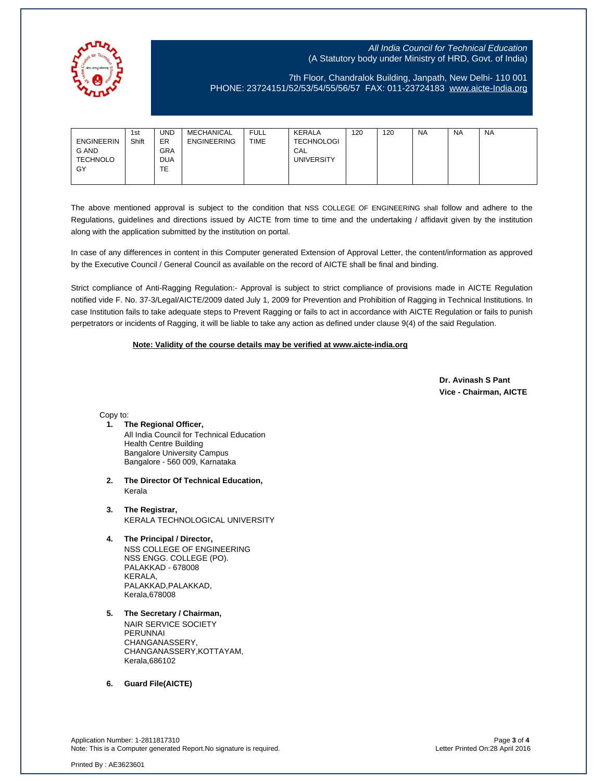

# 7th Floor, Chandralok Building, Janpath, New Delhi- 110 001 PHONE: 23724151/52/53/54/55/56/57 FAX: 011-23724183 [www.aicte-India.org](http://www.aicte-india.org/)

| 1st<br>Shift<br><b>ENGINEERIN</b><br>G AND<br><b>TECHNOLO</b><br>GY | UND<br>ER<br><b>GRA</b><br><b>DUA</b><br>TE | MECHANICAL<br><b>ENGINEERING</b> | <b>FULL</b><br><b>TIME</b> | KERALA<br><b>TECHNOLOGI</b><br>CAL<br><b>UNIVERSITY</b> | 120 | 120 | <b>NA</b> | <b>NA</b> | <b>NA</b> |
|---------------------------------------------------------------------|---------------------------------------------|----------------------------------|----------------------------|---------------------------------------------------------|-----|-----|-----------|-----------|-----------|
|---------------------------------------------------------------------|---------------------------------------------|----------------------------------|----------------------------|---------------------------------------------------------|-----|-----|-----------|-----------|-----------|

The above mentioned approval is subject to the condition that NSS COLLEGE OF ENGINEERING shall follow and adhere to the Regulations, guidelines and directions issued by AICTE from time to time and the undertaking / affidavit given by the institution along with the application submitted by the institution on portal.

In case of any differences in content in this Computer generated Extension of Approval Letter, the content/information as approved by the Executive Council / General Council as available on the record of AICTE shall be final and binding.

Strict compliance of Anti-Ragging Regulation:- Approval is subject to strict compliance of provisions made in AICTE Regulation notified vide F. No. 37-3/Legal/AICTE/2009 dated July 1, 2009 for Prevention and Prohibition of Ragging in Technical Institutions. In case Institution fails to take adequate steps to Prevent Ragging or fails to act in accordance with AICTE Regulation or fails to punish perpetrators or incidents of Ragging, it will be liable to take any action as defined under clause 9(4) of the said Regulation.

### **Note: Validity of the course details may be verified at www.aicte-india.org**

 **Dr. Avinash S Pant Vice - Chairman, AICTE**

Copy to:

- **1. The Regional Officer,** All India Council for Technical Education Health Centre Building Bangalore University Campus Bangalore - 560 009, Karnataka
- **2. The Director Of Technical Education,** Kerala
- **3. The Registrar,** KERALA TECHNOLOGICAL UNIVERSITY
- **4. The Principal / Director,** NSS COLLEGE OF ENGINEERING NSS ENGG. COLLEGE (PO). PALAKKAD - 678008 KERALA, PALAKKAD,PALAKKAD, Kerala,678008
- **5. The Secretary / Chairman,** NAIR SERVICE SOCIETY PERUNNAI CHANGANASSERY, CHANGANASSERY,KOTTAYAM, Kerala,686102

**6. Guard File(AICTE)**

Application Number: 1-2811817310 Page **3** of **4** Note: This is a Computer generated Report.No signature is required.